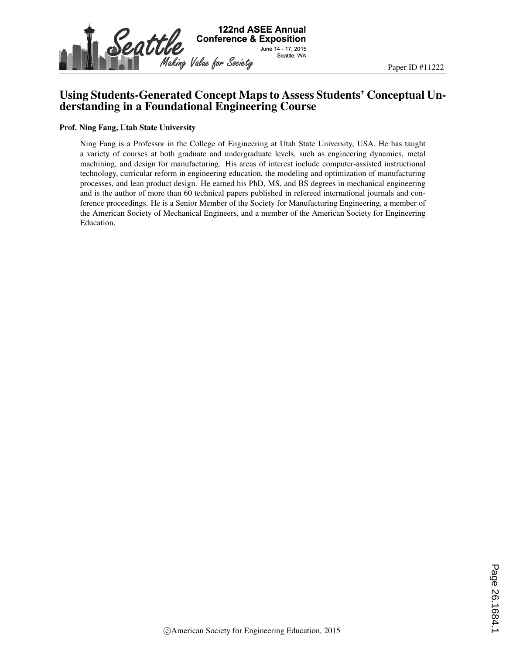

## Using Students-Generated Concept Maps to Assess Students' Conceptual Understanding in a Foundational Engineering Course

#### Prof. Ning Fang, Utah State University

Ning Fang is a Professor in the College of Engineering at Utah State University, USA. He has taught a variety of courses at both graduate and undergraduate levels, such as engineering dynamics, metal machining, and design for manufacturing. His areas of interest include computer-assisted instructional technology, curricular reform in engineering education, the modeling and optimization of manufacturing processes, and lean product design. He earned his PhD, MS, and BS degrees in mechanical engineering and is the author of more than 60 technical papers published in refereed international journals and conference proceedings. He is a Senior Member of the Society for Manufacturing Engineering, a member of the American Society of Mechanical Engineers, and a member of the American Society for Engineering Education.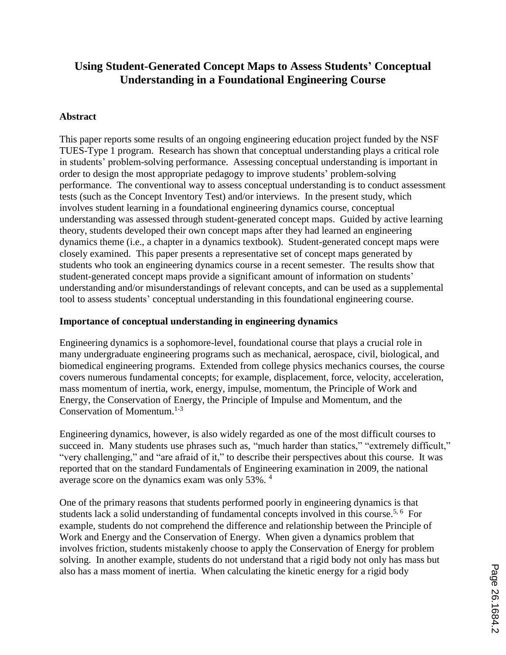# **Using Student-Generated Concept Maps to Assess Students' Conceptual Understanding in a Foundational Engineering Course**

### **Abstract**

This paper reports some results of an ongoing engineering education project funded by the NSF TUES-Type 1 program. Research has shown that conceptual understanding plays a critical role in students' problem-solving performance. Assessing conceptual understanding is important in order to design the most appropriate pedagogy to improve students' problem-solving performance. The conventional way to assess conceptual understanding is to conduct assessment tests (such as the Concept Inventory Test) and/or interviews. In the present study, which involves student learning in a foundational engineering dynamics course, conceptual understanding was assessed through student-generated concept maps. Guided by active learning theory, students developed their own concept maps after they had learned an engineering dynamics theme (i.e., a chapter in a dynamics textbook). Student-generated concept maps were closely examined. This paper presents a representative set of concept maps generated by students who took an engineering dynamics course in a recent semester. The results show that student-generated concept maps provide a significant amount of information on students' understanding and/or misunderstandings of relevant concepts, and can be used as a supplemental tool to assess students' conceptual understanding in this foundational engineering course.

### **Importance of conceptual understanding in engineering dynamics**

Engineering dynamics is a sophomore-level, foundational course that plays a crucial role in many undergraduate engineering programs such as mechanical, aerospace, civil, biological, and biomedical engineering programs. Extended from college physics mechanics courses, the course covers numerous fundamental concepts; for example, displacement, force, velocity, acceleration, mass momentum of inertia, work, energy, impulse, momentum, the Principle of Work and Energy, the Conservation of Energy, the Principle of Impulse and Momentum, and the Conservation of Momentum. 1-3

Engineering dynamics, however, is also widely regarded as one of the most difficult courses to succeed in. Many students use phrases such as, "much harder than statics," "extremely difficult," "very challenging," and "are afraid of it," to describe their perspectives about this course. It was reported that on the standard Fundamentals of Engineering examination in 2009, the national average score on the dynamics exam was only 53%.<sup>4</sup>

One of the primary reasons that students performed poorly in engineering dynamics is that students lack a solid understanding of fundamental concepts involved in this course.<sup>5, 6</sup> For example, students do not comprehend the difference and relationship between the Principle of Work and Energy and the Conservation of Energy. When given a dynamics problem that involves friction, students mistakenly choose to apply the Conservation of Energy for problem solving. In another example, students do not understand that a rigid body not only has mass but also has a mass moment of inertia. When calculating the kinetic energy for a rigid body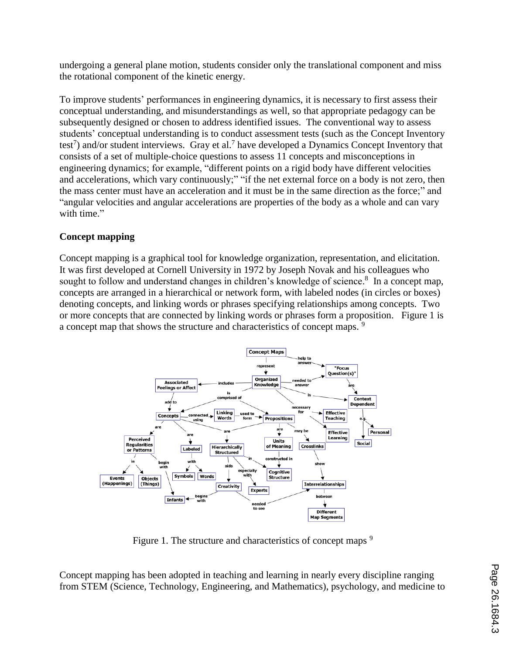undergoing a general plane motion, students consider only the translational component and miss the rotational component of the kinetic energy.

To improve students' performances in engineering dynamics, it is necessary to first assess their conceptual understanding, and misunderstandings as well, so that appropriate pedagogy can be subsequently designed or chosen to address identified issues. The conventional way to assess students' conceptual understanding is to conduct assessment tests (such as the Concept Inventory test<sup>7</sup>) and/or student interviews. Gray et al.<sup>7</sup> have developed a Dynamics Concept Inventory that consists of a set of multiple-choice questions to assess 11 concepts and misconceptions in engineering dynamics; for example, "different points on a rigid body have different velocities and accelerations, which vary continuously;" "if the net external force on a body is not zero, then the mass center must have an acceleration and it must be in the same direction as the force;" and "angular velocities and angular accelerations are properties of the body as a whole and can vary with time."

## **Concept mapping**

Concept mapping is a graphical tool for knowledge organization, representation, and elicitation. It was first developed at Cornell University in 1972 by Joseph Novak and his colleagues who sought to follow and understand changes in children's knowledge of science.<sup>8</sup> In a concept map, concepts are arranged in a hierarchical or network form, with labeled nodes (in circles or boxes) denoting concepts, and linking words or phrases specifying relationships among concepts. Two or more concepts that are connected by linking words or phrases form a proposition. Figure 1 is a concept map that shows the structure and characteristics of concept maps.<sup>9</sup>



Figure 1. The structure and characteristics of concept maps <sup>9</sup>

Concept mapping has been adopted in teaching and learning in nearly every discipline ranging from STEM (Science, Technology, Engineering, and Mathematics), psychology, and medicine to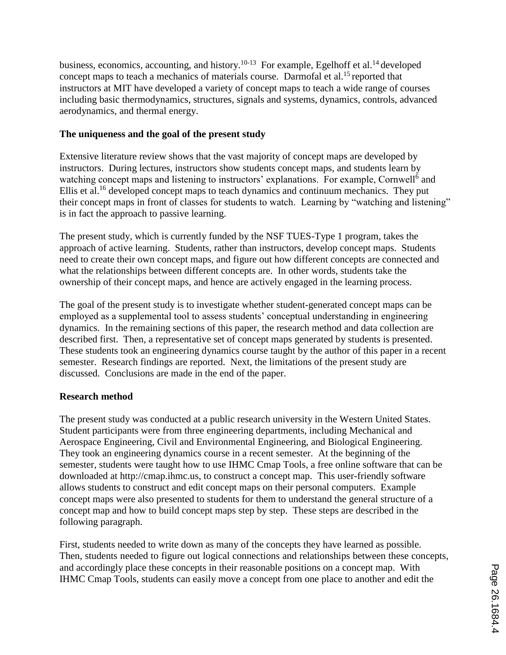business, economics, accounting, and history.<sup>10-13</sup> For example, Egelhoff et al.<sup>14</sup> developed concept maps to teach a mechanics of materials course. Darmofal et al.<sup>15</sup> reported that instructors at MIT have developed a variety of concept maps to teach a wide range of courses including basic thermodynamics, structures, signals and systems, dynamics, controls, advanced aerodynamics, and thermal energy.

## **The uniqueness and the goal of the present study**

Extensive literature review shows that the vast majority of concept maps are developed by instructors. During lectures, instructors show students concept maps, and students learn by watching concept maps and listening to instructors' explanations. For example, Cornwell<sup>6</sup> and Ellis et al.<sup>16</sup> developed concept maps to teach dynamics and continuum mechanics. They put their concept maps in front of classes for students to watch. Learning by "watching and listening" is in fact the approach to passive learning.

The present study, which is currently funded by the NSF TUES-Type 1 program, takes the approach of active learning. Students, rather than instructors, develop concept maps. Students need to create their own concept maps, and figure out how different concepts are connected and what the relationships between different concepts are. In other words, students take the ownership of their concept maps, and hence are actively engaged in the learning process.

The goal of the present study is to investigate whether student-generated concept maps can be employed as a supplemental tool to assess students' conceptual understanding in engineering dynamics. In the remaining sections of this paper, the research method and data collection are described first. Then, a representative set of concept maps generated by students is presented. These students took an engineering dynamics course taught by the author of this paper in a recent semester. Research findings are reported. Next, the limitations of the present study are discussed. Conclusions are made in the end of the paper.

## **Research method**

The present study was conducted at a public research university in the Western United States. Student participants were from three engineering departments, including Mechanical and Aerospace Engineering, Civil and Environmental Engineering, and Biological Engineering. They took an engineering dynamics course in a recent semester. At the beginning of the semester, students were taught how to use IHMC Cmap Tools, a free online software that can be downloaded at http://cmap.ihmc.us, to construct a concept map. This user-friendly software allows students to construct and edit concept maps on their personal computers. Example concept maps were also presented to students for them to understand the general structure of a concept map and how to build concept maps step by step. These steps are described in the following paragraph.

First, students needed to write down as many of the concepts they have learned as possible. Then, students needed to figure out logical connections and relationships between these concepts, and accordingly place these concepts in their reasonable positions on a concept map. With IHMC Cmap Tools, students can easily move a concept from one place to another and edit the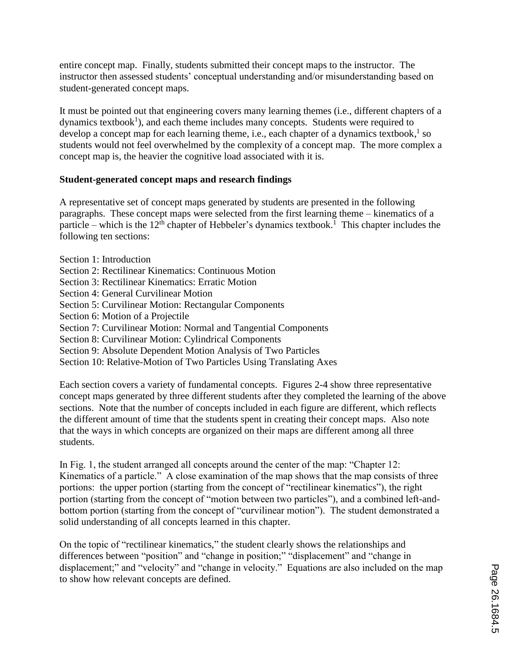entire concept map. Finally, students submitted their concept maps to the instructor. The instructor then assessed students' conceptual understanding and/or misunderstanding based on student-generated concept maps.

It must be pointed out that engineering covers many learning themes (i.e., different chapters of a dynamics textbook<sup>1</sup>), and each theme includes many concepts. Students were required to develop a concept map for each learning theme, i.e., each chapter of a dynamics textbook,  $\frac{1}{1}$  so students would not feel overwhelmed by the complexity of a concept map. The more complex a concept map is, the heavier the cognitive load associated with it is.

### **Student-generated concept maps and research findings**

A representative set of concept maps generated by students are presented in the following paragraphs. These concept maps were selected from the first learning theme – kinematics of a particle – which is the  $12<sup>th</sup>$  chapter of Hebbeler's dynamics textbook.<sup>1</sup> This chapter includes the following ten sections:

- Section 1: Introduction
- Section 2: Rectilinear Kinematics: Continuous Motion
- Section 3: Rectilinear Kinematics: Erratic Motion
- Section 4: General Curvilinear Motion
- Section 5: Curvilinear Motion: Rectangular Components
- Section 6: Motion of a Projectile
- Section 7: Curvilinear Motion: Normal and Tangential Components
- Section 8: Curvilinear Motion: Cylindrical Components
- Section 9: Absolute Dependent Motion Analysis of Two Particles
- Section 10: Relative-Motion of Two Particles Using Translating Axes

Each section covers a variety of fundamental concepts. Figures 2-4 show three representative concept maps generated by three different students after they completed the learning of the above sections. Note that the number of concepts included in each figure are different, which reflects the different amount of time that the students spent in creating their concept maps. Also note that the ways in which concepts are organized on their maps are different among all three students.

In Fig. 1, the student arranged all concepts around the center of the map: "Chapter 12: Kinematics of a particle." A close examination of the map shows that the map consists of three portions: the upper portion (starting from the concept of "rectilinear kinematics"), the right portion (starting from the concept of "motion between two particles"), and a combined left-andbottom portion (starting from the concept of "curvilinear motion"). The student demonstrated a solid understanding of all concepts learned in this chapter.

On the topic of "rectilinear kinematics," the student clearly shows the relationships and differences between "position" and "change in position;" "displacement" and "change in displacement;" and "velocity" and "change in velocity." Equations are also included on the map to show how relevant concepts are defined.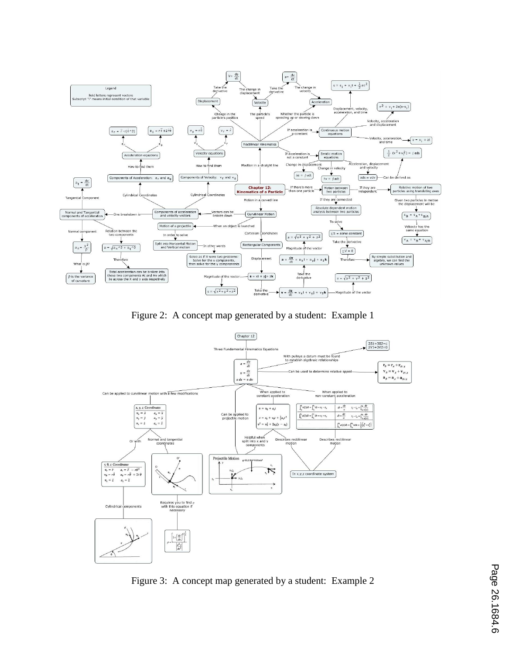

Figure 2: A concept map generated by a student: Example 1



Figure 3: A concept map generated by a student: Example 2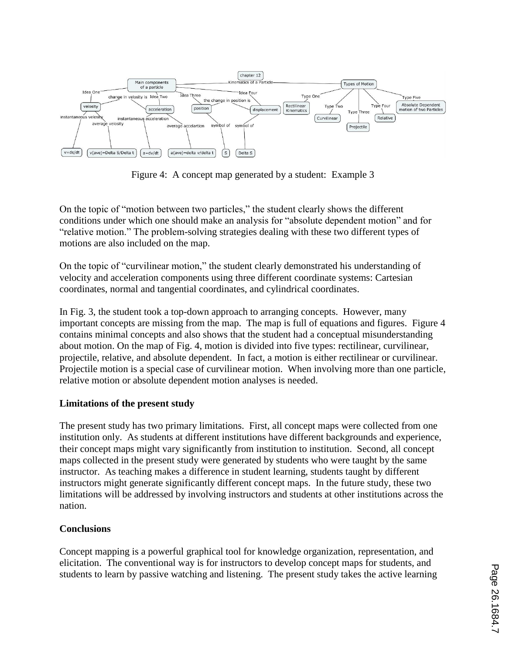

Figure 4: A concept map generated by a student: Example 3

On the topic of "motion between two particles," the student clearly shows the different conditions under which one should make an analysis for "absolute dependent motion" and for "relative motion." The problem-solving strategies dealing with these two different types of motions are also included on the map.

On the topic of "curvilinear motion," the student clearly demonstrated his understanding of velocity and acceleration components using three different coordinate systems: Cartesian coordinates, normal and tangential coordinates, and cylindrical coordinates.

In Fig. 3, the student took a top-down approach to arranging concepts. However, many important concepts are missing from the map. The map is full of equations and figures. Figure 4 contains minimal concepts and also shows that the student had a conceptual misunderstanding about motion. On the map of Fig. 4, motion is divided into five types: rectilinear, curvilinear, projectile, relative, and absolute dependent. In fact, a motion is either rectilinear or curvilinear. Projectile motion is a special case of curvilinear motion. When involving more than one particle, relative motion or absolute dependent motion analyses is needed.

## **Limitations of the present study**

The present study has two primary limitations. First, all concept maps were collected from one institution only. As students at different institutions have different backgrounds and experience, their concept maps might vary significantly from institution to institution. Second, all concept maps collected in the present study were generated by students who were taught by the same instructor. As teaching makes a difference in student learning, students taught by different instructors might generate significantly different concept maps. In the future study, these two limitations will be addressed by involving instructors and students at other institutions across the nation.

### **Conclusions**

Concept mapping is a powerful graphical tool for knowledge organization, representation, and elicitation. The conventional way is for instructors to develop concept maps for students, and students to learn by passive watching and listening. The present study takes the active learning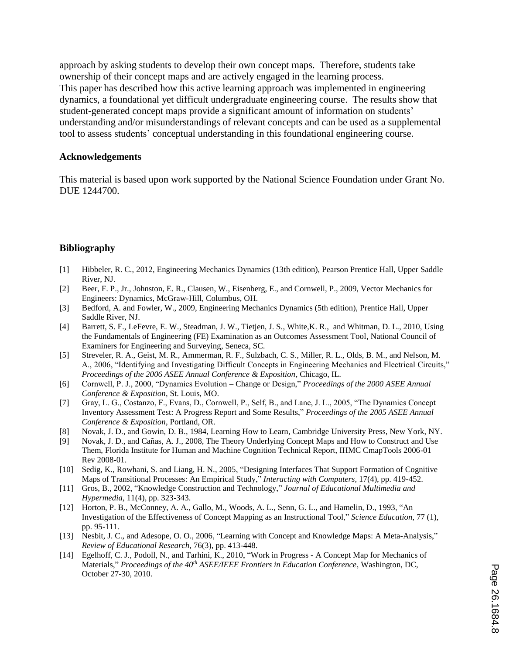approach by asking students to develop their own concept maps. Therefore, students take ownership of their concept maps and are actively engaged in the learning process. This paper has described how this active learning approach was implemented in engineering dynamics, a foundational yet difficult undergraduate engineering course. The results show that student-generated concept maps provide a significant amount of information on students' understanding and/or misunderstandings of relevant concepts and can be used as a supplemental tool to assess students' conceptual understanding in this foundational engineering course.

#### **Acknowledgements**

This material is based upon work supported by the National Science Foundation under Grant No. DUE 1244700.

## **Bibliography**

- [1] Hibbeler, R. C., 2012, Engineering Mechanics Dynamics (13th edition), Pearson Prentice Hall, Upper Saddle River, NJ.
- [2] Beer, F. P., Jr., Johnston, E. R., Clausen, W., Eisenberg, E., and Cornwell, P., 2009, Vector Mechanics for Engineers: Dynamics, McGraw-Hill, Columbus, OH.
- [3] Bedford, A. and Fowler, W., 2009, Engineering Mechanics Dynamics (5th edition), Prentice Hall, Upper Saddle River, NJ.
- [4] Barrett, S. F., LeFevre, E. W., Steadman, J. W., Tietjen, J. S., White,K. R., and Whitman, D. L., 2010, Using the Fundamentals of Engineering (FE) Examination as an Outcomes Assessment Tool, National Council of Examiners for Engineering and Surveying, Seneca, SC.
- [5] Streveler, R. A., Geist, M. R., Ammerman, R. F., Sulzbach, C. S., Miller, R. L., Olds, B. M., and Nelson, M. A., 2006, "Identifying and Investigating Difficult Concepts in Engineering Mechanics and Electrical Circuits," *Proceedings of the 2006 ASEE Annual Conference & Exposition*, Chicago, IL.
- [6] Cornwell, P. J., 2000, "Dynamics Evolution Change or Design," *Proceedings of the 2000 ASEE Annual Conference & Exposition*, St. Louis, MO.
- [7] Gray, L. G., Costanzo, F., Evans, D., Cornwell, P., Self, B., and Lane, J. L., 2005, "The Dynamics Concept Inventory Assessment Test: A Progress Report and Some Results," *Proceedings of the 2005 ASEE Annual Conference & Exposition*, Portland, OR.
- [8] Novak, J. D., and Gowin, D. B., 1984, Learning How to Learn*,* Cambridge University Press, New York, NY.
- [9] Novak, J. D., and Cañas, A. J., 2008, The Theory Underlying Concept Maps and How to Construct and Use Them, Florida Institute for Human and Machine Cognition Technical Report, IHMC CmapTools 2006-01 Rev 2008-01.
- [10] Sedig, K., Rowhani, S. and Liang, H. N., 2005, "Designing Interfaces That Support Formation of Cognitive Maps of Transitional Processes: An Empirical Study," *Interacting with Computers*, 17(4), pp. 419-452.
- [11] Gros, B., 2002, "Knowledge Construction and Technology," *Journal of Educational Multimedia and Hypermedia*, 11(4), pp. 323-343.
- [12] Horton, P. B., McConney, A. A., Gallo, M., Woods, A. L., Senn, G. L., and Hamelin, D., 1993, "An Investigation of the Effectiveness of Concept Mapping as an Instructional Tool," *Science Education*, 77 (1), pp. 95-111.
- [13] Nesbit, J. C., and Adesope, O. O., 2006, "Learning with Concept and Knowledge Maps: A Meta-Analysis," *Review of Educational Research*, 76(3), pp. 413-448.
- [14] Egelhoff, C. J., Podoll, N., and Tarhini, K., 2010, "Work in Progress A Concept Map for Mechanics of Materials," *Proceedings of the 40th ASEE/IEEE Frontiers in Education Conference*, Washington, DC, October 27-30, 2010.